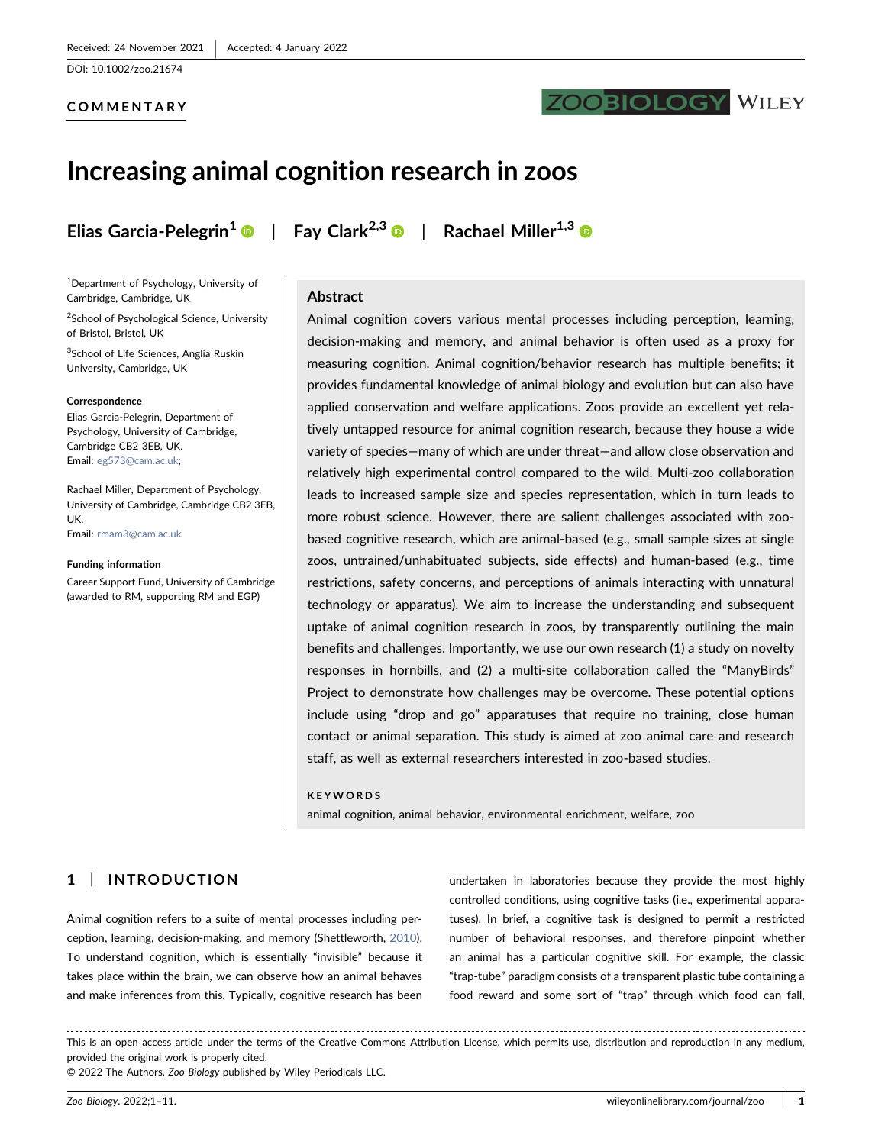DOI: 10.1002/zoo.21674

## COMMENTARY

# **ZOOBIOLOGY WILEY**

# Increasing animal cognition research in zoos

1 Department of Psychology, University of Cambridge, Cambridge, UK

<sup>2</sup>School of Psychological Science, University of Bristol, Bristol, UK

<sup>3</sup>School of Life Sciences, Anglia Ruskin University, Cambridge, UK

#### **Correspondence**

Elias Garcia‐Pelegrin, Department of Psychology, University of Cambridge, Cambridge CB2 3EB, UK. Email: [eg573@cam.ac.uk;](mailto:eg573@cam.ac.uk)

Rachael Miller, Department of Psychology, University of Cambridge, Cambridge CB2 3EB, UK. Email: [rmam3@cam.ac.uk](mailto:rmam3@cam.ac.uk)

#### Funding information

Career Support Fund, University of Cambridge (awarded to RM, supporting RM and EGP)

Elias Garcia-Pelegrin<sup>1</sup>  $\bullet$  | Fay Clark<sup>2,[3](https://orcid.org/0000-0001-9668-1944)</sup>  $\bullet$  | Rachael Miller<sup>1,3</sup>  $\bullet$ 

#### Abstract

Animal cognition covers various mental processes including perception, learning, decision‐making and memory, and animal behavior is often used as a proxy for measuring cognition. Animal cognition/behavior research has multiple benefits; it provides fundamental knowledge of animal biology and evolution but can also have applied conservation and welfare applications. Zoos provide an excellent yet relatively untapped resource for animal cognition research, because they house a wide variety of species—many of which are under threat—and allow close observation and relatively high experimental control compared to the wild. Multi-zoo collaboration leads to increased sample size and species representation, which in turn leads to more robust science. However, there are salient challenges associated with zoobased cognitive research, which are animal‐based (e.g., small sample sizes at single zoos, untrained/unhabituated subjects, side effects) and human‐based (e.g., time restrictions, safety concerns, and perceptions of animals interacting with unnatural technology or apparatus). We aim to increase the understanding and subsequent uptake of animal cognition research in zoos, by transparently outlining the main benefits and challenges. Importantly, we use our own research (1) a study on novelty responses in hornbills, and (2) a multi‐site collaboration called the "ManyBirds" Project to demonstrate how challenges may be overcome. These potential options include using "drop and go" apparatuses that require no training, close human contact or animal separation. This study is aimed at zoo animal care and research staff, as well as external researchers interested in zoo‐based studies.

#### KEYWORDS

animal cognition, animal behavior, environmental enrichment, welfare, zoo

# 1 | INTRODUCTION

Animal cognition refers to a suite of mental processes including perception, learning, decision‐making, and memory (Shettleworth, [2010](#page-10-0)). To understand cognition, which is essentially "invisible" because it takes place within the brain, we can observe how an animal behaves and make inferences from this. Typically, cognitive research has been undertaken in laboratories because they provide the most highly controlled conditions, using cognitive tasks (i.e., experimental apparatuses). In brief, a cognitive task is designed to permit a restricted number of behavioral responses, and therefore pinpoint whether an animal has a particular cognitive skill. For example, the classic "trap‐tube" paradigm consists of a transparent plastic tube containing a food reward and some sort of "trap" through which food can fall,

This is an open access article under the terms of the Creative Commons Attribution License, which permits use, distribution and reproduction in any medium, provided the original work is properly cited.

© 2022 The Authors. Zoo Biology published by Wiley Periodicals LLC.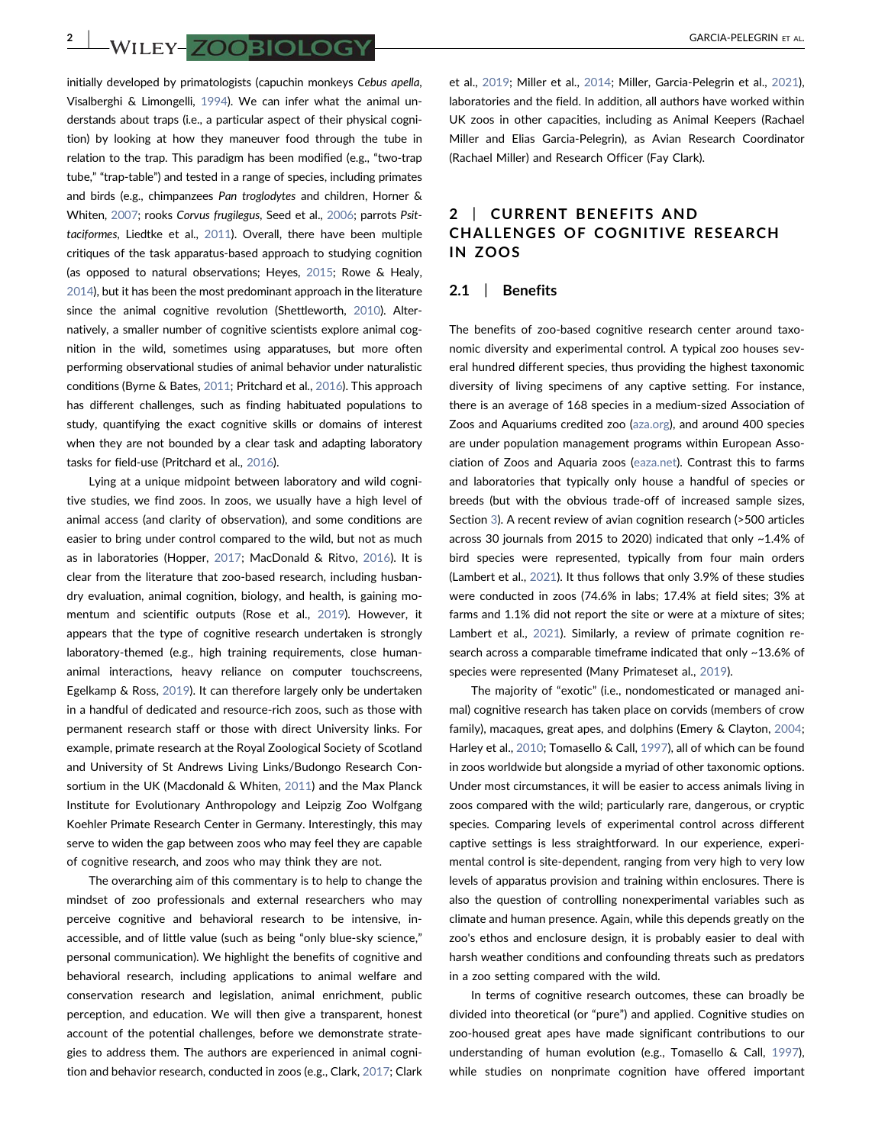2 | GARCIA‐PELEGRIN ET AL.

initially developed by primatologists (capuchin monkeys Cebus apella, Visalberghi & Limongelli, [1994](#page-10-1)). We can infer what the animal understands about traps (i.e., a particular aspect of their physical cognition) by looking at how they maneuver food through the tube in relation to the trap. This paradigm has been modified (e.g., "two‐trap tube," "trap-table") and tested in a range of species, including primates and birds (e.g., chimpanzees Pan troglodytes and children, Horner & Whiten, [2007](#page-9-0); rooks Corvus frugilegus, Seed et al., [2006;](#page-10-2) parrots Psittaciformes, Liedtke et al., [2011\)](#page-9-1). Overall, there have been multiple critiques of the task apparatus‐based approach to studying cognition (as opposed to natural observations; Heyes, [2015](#page-9-2); Rowe & Healy, [2014\)](#page-10-3), but it has been the most predominant approach in the literature since the animal cognitive revolution (Shettleworth, [2010\)](#page-10-0). Alternatively, a smaller number of cognitive scientists explore animal cognition in the wild, sometimes using apparatuses, but more often performing observational studies of animal behavior under naturalistic conditions (Byrne & Bates, [2011](#page-9-3); Pritchard et al., [2016\)](#page-10-4). This approach has different challenges, such as finding habituated populations to study, quantifying the exact cognitive skills or domains of interest when they are not bounded by a clear task and adapting laboratory tasks for field‐use (Pritchard et al., [2016\)](#page-10-4).

Lying at a unique midpoint between laboratory and wild cognitive studies, we find zoos. In zoos, we usually have a high level of animal access (and clarity of observation), and some conditions are easier to bring under control compared to the wild, but not as much as in laboratories (Hopper, [2017;](#page-9-4) MacDonald & Ritvo, [2016\)](#page-9-5). It is clear from the literature that zoo‐based research, including husbandry evaluation, animal cognition, biology, and health, is gaining momentum and scientific outputs (Rose et al., [2019](#page-10-5)). However, it appears that the type of cognitive research undertaken is strongly laboratory-themed (e.g., high training requirements, close humananimal interactions, heavy reliance on computer touchscreens, Egelkamp & Ross, [2019\)](#page-9-6). It can therefore largely only be undertaken in a handful of dedicated and resource‐rich zoos, such as those with permanent research staff or those with direct University links. For example, primate research at the Royal Zoological Society of Scotland and University of St Andrews Living Links/Budongo Research Consortium in the UK (Macdonald & Whiten, [2011](#page-9-7)) and the Max Planck Institute for Evolutionary Anthropology and Leipzig Zoo Wolfgang Koehler Primate Research Center in Germany. Interestingly, this may serve to widen the gap between zoos who may feel they are capable of cognitive research, and zoos who may think they are not.

The overarching aim of this commentary is to help to change the mindset of zoo professionals and external researchers who may perceive cognitive and behavioral research to be intensive, inaccessible, and of little value (such as being "only blue‐sky science," personal communication). We highlight the benefits of cognitive and behavioral research, including applications to animal welfare and conservation research and legislation, animal enrichment, public perception, and education. We will then give a transparent, honest account of the potential challenges, before we demonstrate strategies to address them. The authors are experienced in animal cognition and behavior research, conducted in zoos (e.g., Clark, [2017](#page-9-8); Clark

et al., [2019;](#page-9-9) Miller et al., [2014](#page-9-10); Miller, Garcia‐Pelegrin et al., [2021\)](#page-9-11), laboratories and the field. In addition, all authors have worked within UK zoos in other capacities, including as Animal Keepers (Rachael Miller and Elias Garcia‐Pelegrin), as Avian Research Coordinator (Rachael Miller) and Research Officer (Fay Clark).

# 2 | CURRENT BENEFITS AND CHALLENGES OF COGNITIVE RESEARCH IN ZOOS

#### 2.1 | Benefits

The benefits of zoo-based cognitive research center around taxonomic diversity and experimental control. A typical zoo houses several hundred different species, thus providing the highest taxonomic diversity of living specimens of any captive setting. For instance, there is an average of 168 species in a medium‐sized Association of Zoos and Aquariums credited zoo [\(aza.org](https://aza.org)), and around 400 species are under population management programs within European Association of Zoos and Aquaria zoos [\(eaza.net](https://eaza.net)). Contrast this to farms and laboratories that typically only house a handful of species or breeds (but with the obvious trade‐off of increased sample sizes, Section [3\)](#page-6-0). A recent review of avian cognition research (>500 articles across 30 journals from 2015 to 2020) indicated that only ~1.4% of bird species were represented, typically from four main orders (Lambert et al., [2021](#page-9-12)). It thus follows that only 3.9% of these studies were conducted in zoos (74.6% in labs; 17.4% at field sites; 3% at farms and 1.1% did not report the site or were at a mixture of sites; Lambert et al., [2021\)](#page-9-12). Similarly, a review of primate cognition research across a comparable timeframe indicated that only ~13.6% of species were represented (Many Primateset al., [2019\)](#page-8-0).

The majority of "exotic" (i.e., nondomesticated or managed animal) cognitive research has taken place on corvids (members of crow family), macaques, great apes, and dolphins (Emery & Clayton, [2004;](#page-9-13) Harley et al., [2010](#page-9-14); Tomasello & Call, [1997](#page-10-6)), all of which can be found in zoos worldwide but alongside a myriad of other taxonomic options. Under most circumstances, it will be easier to access animals living in zoos compared with the wild; particularly rare, dangerous, or cryptic species. Comparing levels of experimental control across different captive settings is less straightforward. In our experience, experimental control is site‐dependent, ranging from very high to very low levels of apparatus provision and training within enclosures. There is also the question of controlling nonexperimental variables such as climate and human presence. Again, while this depends greatly on the zoo's ethos and enclosure design, it is probably easier to deal with harsh weather conditions and confounding threats such as predators in a zoo setting compared with the wild.

In terms of cognitive research outcomes, these can broadly be divided into theoretical (or "pure") and applied. Cognitive studies on zoo‐housed great apes have made significant contributions to our understanding of human evolution (e.g., Tomasello & Call, [1997\)](#page-10-6), while studies on nonprimate cognition have offered important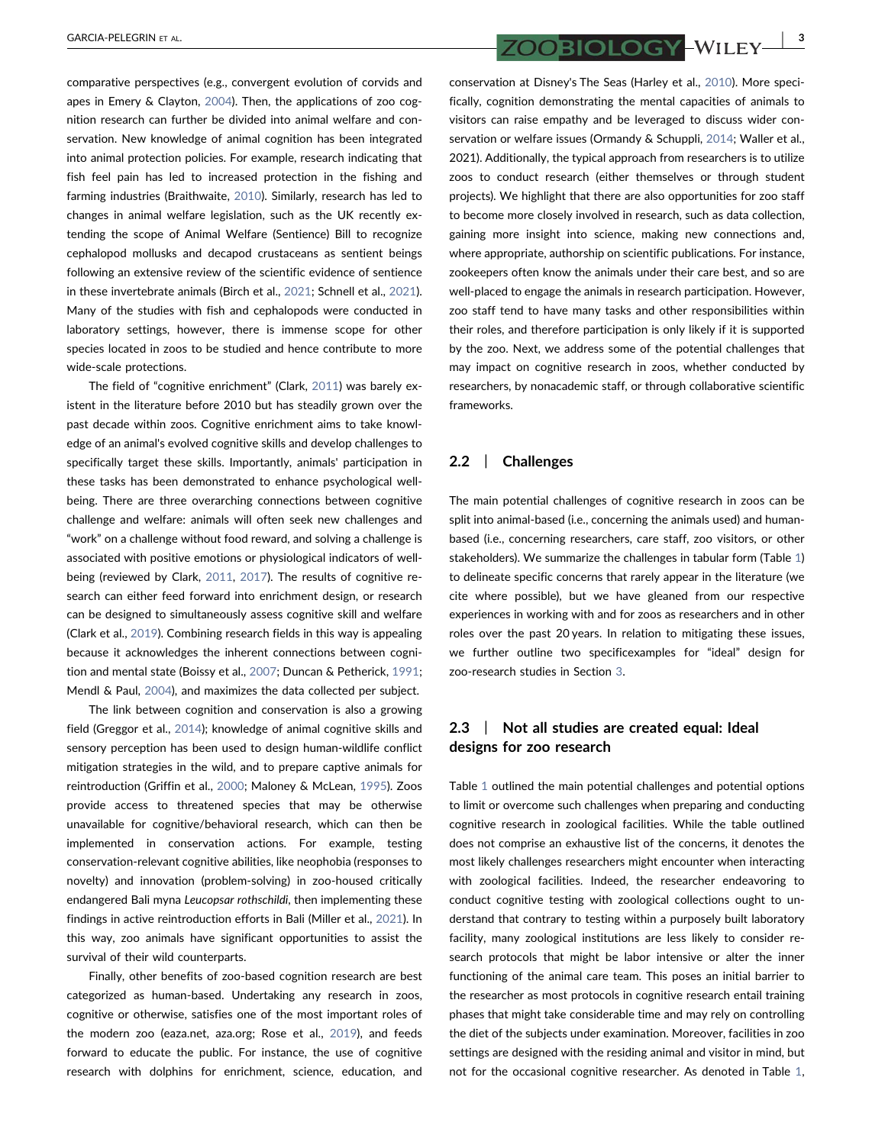comparative perspectives (e.g., convergent evolution of corvids and apes in Emery & Clayton, [2004](#page-9-13)). Then, the applications of zoo cognition research can further be divided into animal welfare and conservation. New knowledge of animal cognition has been integrated into animal protection policies. For example, research indicating that fish feel pain has led to increased protection in the fishing and farming industries (Braithwaite, [2010\)](#page-8-1). Similarly, research has led to changes in animal welfare legislation, such as the UK recently extending the scope of Animal Welfare (Sentience) Bill to recognize cephalopod mollusks and decapod crustaceans as sentient beings following an extensive review of the scientific evidence of sentience in these invertebrate animals (Birch et al., [2021;](#page-8-2) Schnell et al., [2021](#page-10-7)). Many of the studies with fish and cephalopods were conducted in laboratory settings, however, there is immense scope for other species located in zoos to be studied and hence contribute to more wide‐scale protections.

The field of "cognitive enrichment" (Clark, [2011\)](#page-9-15) was barely existent in the literature before 2010 but has steadily grown over the past decade within zoos. Cognitive enrichment aims to take knowledge of an animal's evolved cognitive skills and develop challenges to specifically target these skills. Importantly, animals' participation in these tasks has been demonstrated to enhance psychological well‐ being. There are three overarching connections between cognitive challenge and welfare: animals will often seek new challenges and "work" on a challenge without food reward, and solving a challenge is associated with positive emotions or physiological indicators of well‐ being (reviewed by Clark, [2011](#page-9-15), [2017\)](#page-9-8). The results of cognitive research can either feed forward into enrichment design, or research can be designed to simultaneously assess cognitive skill and welfare (Clark et al., [2019\)](#page-9-9). Combining research fields in this way is appealing because it acknowledges the inherent connections between cognition and mental state (Boissy et al., [2007;](#page-8-3) Duncan & Petherick, [1991](#page-9-16); Mendl & Paul, [2004](#page-9-17)), and maximizes the data collected per subject.

The link between cognition and conservation is also a growing field (Greggor et al., [2014\)](#page-9-18); knowledge of animal cognitive skills and sensory perception has been used to design human-wildlife conflict mitigation strategies in the wild, and to prepare captive animals for reintroduction (Griffin et al., [2000;](#page-9-19) Maloney & McLean, [1995](#page-9-20)). Zoos provide access to threatened species that may be otherwise unavailable for cognitive/behavioral research, which can then be implemented in conservation actions. For example, testing conservation‐relevant cognitive abilities, like neophobia (responses to novelty) and innovation (problem‐solving) in zoo‐housed critically endangered Bali myna Leucopsar rothschildi, then implementing these findings in active reintroduction efforts in Bali (Miller et al., [2021](#page-9-21)). In this way, zoo animals have significant opportunities to assist the survival of their wild counterparts.

Finally, other benefits of zoo‐based cognition research are best categorized as human‐based. Undertaking any research in zoos, cognitive or otherwise, satisfies one of the most important roles of the modern zoo (eaza.net, aza.org; Rose et al., [2019\)](#page-10-5), and feeds forward to educate the public. For instance, the use of cognitive research with dolphins for enrichment, science, education, and

GARCIA-PELEGRIN ET AL.  $ZOO$  BIOLOGY – WILEY  $\frac{1}{3}$ 

conservation at Disney's The Seas (Harley et al., [2010](#page-9-14)). More specifically, cognition demonstrating the mental capacities of animals to visitors can raise empathy and be leveraged to discuss wider conservation or welfare issues (Ormandy & Schuppli, [2014;](#page-10-8) Waller et al., 2021). Additionally, the typical approach from researchers is to utilize zoos to conduct research (either themselves or through student projects). We highlight that there are also opportunities for zoo staff to become more closely involved in research, such as data collection, gaining more insight into science, making new connections and, where appropriate, authorship on scientific publications. For instance, zookeepers often know the animals under their care best, and so are well-placed to engage the animals in research participation. However, zoo staff tend to have many tasks and other responsibilities within their roles, and therefore participation is only likely if it is supported by the zoo. Next, we address some of the potential challenges that may impact on cognitive research in zoos, whether conducted by researchers, by nonacademic staff, or through collaborative scientific frameworks.

### 2.2 | Challenges

The main potential challenges of cognitive research in zoos can be split into animal-based (i.e., concerning the animals used) and humanbased (i.e., concerning researchers, care staff, zoo visitors, or other stakeholders). We summarize the challenges in tabular form (Table [1](#page-3-0)) to delineate specific concerns that rarely appear in the literature (we cite where possible), but we have gleaned from our respective experiences in working with and for zoos as researchers and in other roles over the past 20 years. In relation to mitigating these issues, we further outline two specificexamples for "ideal" design for zoo‐research studies in Section [3](#page-6-0).

# 2.3 | Not all studies are created equal: Ideal designs for zoo research

Table [1](#page-3-0) outlined the main potential challenges and potential options to limit or overcome such challenges when preparing and conducting cognitive research in zoological facilities. While the table outlined does not comprise an exhaustive list of the concerns, it denotes the most likely challenges researchers might encounter when interacting with zoological facilities. Indeed, the researcher endeavoring to conduct cognitive testing with zoological collections ought to understand that contrary to testing within a purposely built laboratory facility, many zoological institutions are less likely to consider research protocols that might be labor intensive or alter the inner functioning of the animal care team. This poses an initial barrier to the researcher as most protocols in cognitive research entail training phases that might take considerable time and may rely on controlling the diet of the subjects under examination. Moreover, facilities in zoo settings are designed with the residing animal and visitor in mind, but not for the occasional cognitive researcher. As denoted in Table [1,](#page-3-0)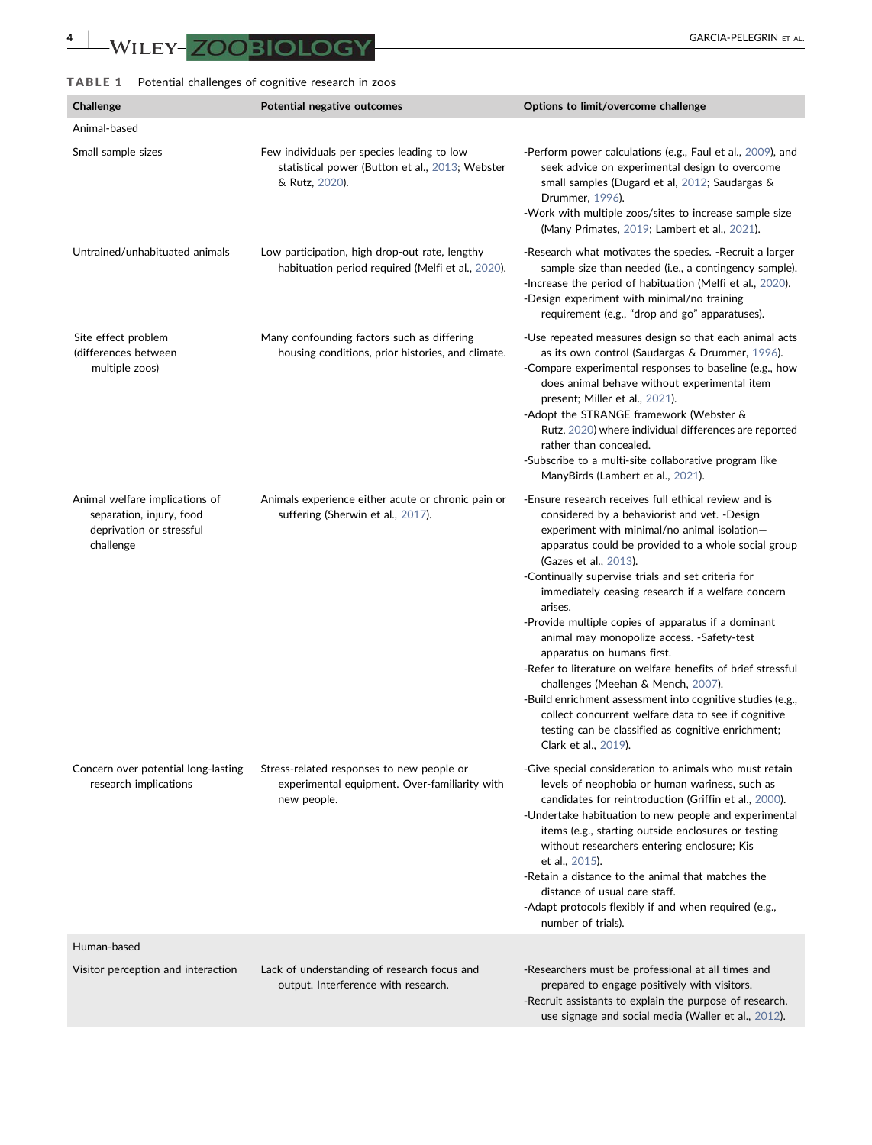# <span id="page-3-0"></span>TABLE 1 Potential challenges of cognitive research in zoos

| Challenge                                                                                           | Potential negative outcomes                                                                                     | Options to limit/overcome challenge                                                                                                                                                                                                                                                                                                                                                                                                                                                                                                                                                                                                                                                                                                                                                                   |
|-----------------------------------------------------------------------------------------------------|-----------------------------------------------------------------------------------------------------------------|-------------------------------------------------------------------------------------------------------------------------------------------------------------------------------------------------------------------------------------------------------------------------------------------------------------------------------------------------------------------------------------------------------------------------------------------------------------------------------------------------------------------------------------------------------------------------------------------------------------------------------------------------------------------------------------------------------------------------------------------------------------------------------------------------------|
| Animal-based                                                                                        |                                                                                                                 |                                                                                                                                                                                                                                                                                                                                                                                                                                                                                                                                                                                                                                                                                                                                                                                                       |
| Small sample sizes                                                                                  | Few individuals per species leading to low<br>statistical power (Button et al., 2013; Webster<br>& Rutz, 2020). | -Perform power calculations (e.g., Faul et al., 2009), and<br>seek advice on experimental design to overcome<br>small samples (Dugard et al, 2012; Saudargas &<br>Drummer, 1996).<br>-Work with multiple zoos/sites to increase sample size<br>(Many Primates, 2019; Lambert et al., 2021).                                                                                                                                                                                                                                                                                                                                                                                                                                                                                                           |
| Untrained/unhabituated animals                                                                      | Low participation, high drop-out rate, lengthy<br>habituation period required (Melfi et al., 2020).             | -Research what motivates the species. -Recruit a larger<br>sample size than needed (i.e., a contingency sample).<br>-Increase the period of habituation (Melfi et al., 2020).<br>-Design experiment with minimal/no training<br>requirement (e.g., "drop and go" apparatuses).                                                                                                                                                                                                                                                                                                                                                                                                                                                                                                                        |
| Site effect problem<br>(differences between<br>multiple zoos)                                       | Many confounding factors such as differing<br>housing conditions, prior histories, and climate.                 | -Use repeated measures design so that each animal acts<br>as its own control (Saudargas & Drummer, 1996).<br>-Compare experimental responses to baseline (e.g., how<br>does animal behave without experimental item<br>present; Miller et al., 2021).<br>-Adopt the STRANGE framework (Webster &<br>Rutz, 2020) where individual differences are reported<br>rather than concealed.<br>-Subscribe to a multi-site collaborative program like<br>ManyBirds (Lambert et al., 2021).                                                                                                                                                                                                                                                                                                                     |
| Animal welfare implications of<br>separation, injury, food<br>deprivation or stressful<br>challenge | Animals experience either acute or chronic pain or<br>suffering (Sherwin et al., 2017).                         | -Ensure research receives full ethical review and is<br>considered by a behaviorist and vet. -Design<br>experiment with minimal/no animal isolation-<br>apparatus could be provided to a whole social group<br>(Gazes et al., 2013).<br>-Continually supervise trials and set criteria for<br>immediately ceasing research if a welfare concern<br>arises.<br>-Provide multiple copies of apparatus if a dominant<br>animal may monopolize access. -Safety-test<br>apparatus on humans first.<br>-Refer to literature on welfare benefits of brief stressful<br>challenges (Meehan & Mench, 2007).<br>-Build enrichment assessment into cognitive studies (e.g.,<br>collect concurrent welfare data to see if cognitive<br>testing can be classified as cognitive enrichment;<br>Clark et al., 2019). |
| Concern over potential long-lasting<br>research implications                                        | Stress-related responses to new people or<br>experimental equipment. Over-familiarity with<br>new people.       | -Give special consideration to animals who must retain<br>levels of neophobia or human wariness, such as<br>candidates for reintroduction (Griffin et al., 2000).<br>-Undertake habituation to new people and experimental<br>items (e.g., starting outside enclosures or testing<br>without researchers entering enclosure; Kis<br>et al., 2015).<br>-Retain a distance to the animal that matches the<br>distance of usual care staff.<br>-Adapt protocols flexibly if and when required (e.g.,<br>number of trials).                                                                                                                                                                                                                                                                               |
| Human-based                                                                                         |                                                                                                                 |                                                                                                                                                                                                                                                                                                                                                                                                                                                                                                                                                                                                                                                                                                                                                                                                       |
| Visitor perception and interaction                                                                  | Lack of understanding of research focus and<br>output. Interference with research.                              | -Researchers must be professional at all times and<br>prepared to engage positively with visitors.<br>-Recruit assistants to explain the purpose of research,<br>use signage and social media (Waller et al., 2012).                                                                                                                                                                                                                                                                                                                                                                                                                                                                                                                                                                                  |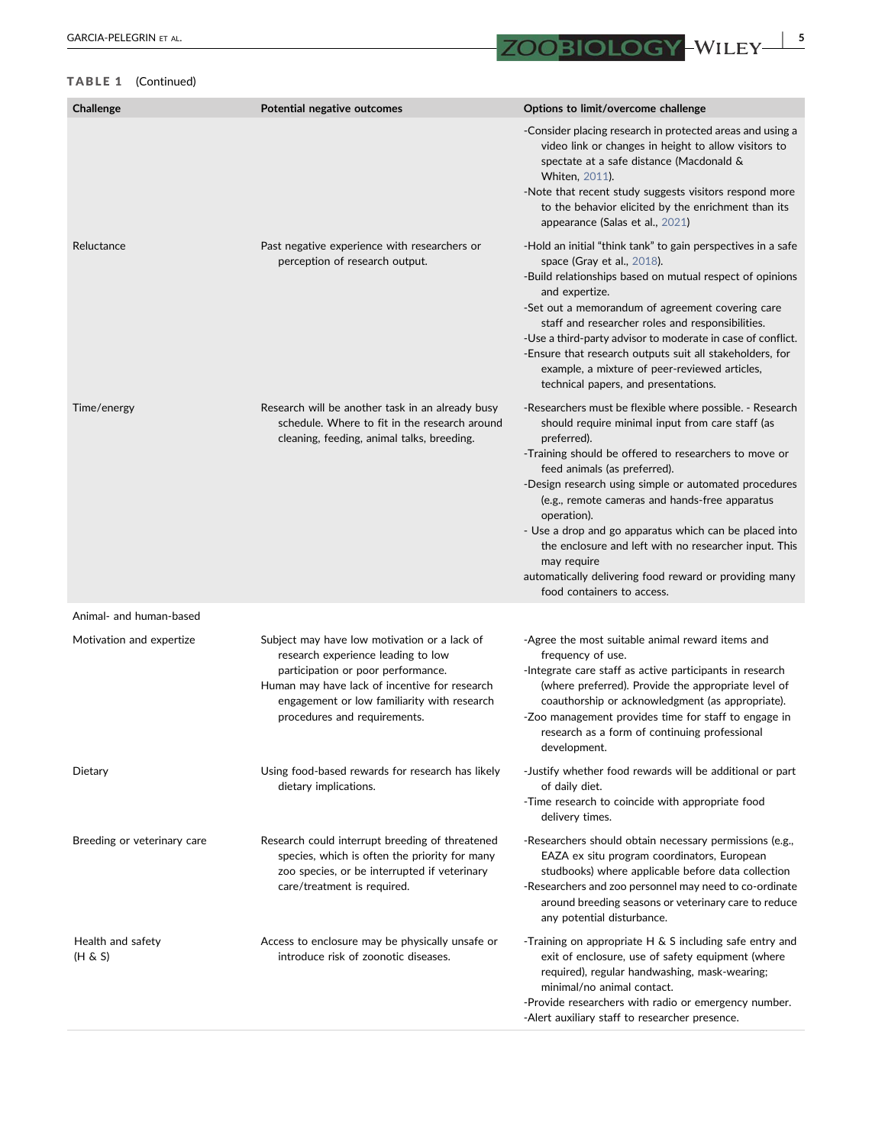# TABLE 1 (Continued)

| Challenge                    | Potential negative outcomes                                                                                                                                                                                                                              | Options to limit/overcome challenge                                                                                                                                                                                                                                                                                                                                                                                                                                                                                                                                      |
|------------------------------|----------------------------------------------------------------------------------------------------------------------------------------------------------------------------------------------------------------------------------------------------------|--------------------------------------------------------------------------------------------------------------------------------------------------------------------------------------------------------------------------------------------------------------------------------------------------------------------------------------------------------------------------------------------------------------------------------------------------------------------------------------------------------------------------------------------------------------------------|
|                              |                                                                                                                                                                                                                                                          | -Consider placing research in protected areas and using a<br>video link or changes in height to allow visitors to<br>spectate at a safe distance (Macdonald &<br>Whiten, 2011).<br>-Note that recent study suggests visitors respond more<br>to the behavior elicited by the enrichment than its<br>appearance (Salas et al., 2021)                                                                                                                                                                                                                                      |
| Reluctance                   | Past negative experience with researchers or<br>perception of research output.                                                                                                                                                                           | -Hold an initial "think tank" to gain perspectives in a safe<br>space (Gray et al., 2018).<br>-Build relationships based on mutual respect of opinions<br>and expertize.<br>-Set out a memorandum of agreement covering care<br>staff and researcher roles and responsibilities.<br>-Use a third-party advisor to moderate in case of conflict.<br>-Ensure that research outputs suit all stakeholders, for<br>example, a mixture of peer-reviewed articles,<br>technical papers, and presentations.                                                                     |
| Time/energy                  | Research will be another task in an already busy<br>schedule. Where to fit in the research around<br>cleaning, feeding, animal talks, breeding.                                                                                                          | -Researchers must be flexible where possible. - Research<br>should require minimal input from care staff (as<br>preferred).<br>-Training should be offered to researchers to move or<br>feed animals (as preferred).<br>-Design research using simple or automated procedures<br>(e.g., remote cameras and hands-free apparatus<br>operation).<br>- Use a drop and go apparatus which can be placed into<br>the enclosure and left with no researcher input. This<br>may require<br>automatically delivering food reward or providing many<br>food containers to access. |
| Animal- and human-based      |                                                                                                                                                                                                                                                          |                                                                                                                                                                                                                                                                                                                                                                                                                                                                                                                                                                          |
| Motivation and expertize     | Subject may have low motivation or a lack of<br>research experience leading to low<br>participation or poor performance.<br>Human may have lack of incentive for research<br>engagement or low familiarity with research<br>procedures and requirements. | -Agree the most suitable animal reward items and<br>frequency of use.<br>-Integrate care staff as active participants in research<br>(where preferred). Provide the appropriate level of<br>coauthorship or acknowledgment (as appropriate).<br>-Zoo management provides time for staff to engage in<br>research as a form of continuing professional<br>development.                                                                                                                                                                                                    |
| Dietary                      | Using food-based rewards for research has likely<br>dietary implications.                                                                                                                                                                                | -Justify whether food rewards will be additional or part<br>of daily diet.<br>-Time research to coincide with appropriate food<br>delivery times.                                                                                                                                                                                                                                                                                                                                                                                                                        |
| Breeding or veterinary care  | Research could interrupt breeding of threatened<br>species, which is often the priority for many<br>zoo species, or be interrupted if veterinary<br>care/treatment is required.                                                                          | -Researchers should obtain necessary permissions (e.g.,<br>EAZA ex situ program coordinators, European<br>studbooks) where applicable before data collection<br>-Researchers and zoo personnel may need to co-ordinate<br>around breeding seasons or veterinary care to reduce<br>any potential disturbance.                                                                                                                                                                                                                                                             |
| Health and safety<br>(H & S) | Access to enclosure may be physically unsafe or<br>introduce risk of zoonotic diseases.                                                                                                                                                                  | -Training on appropriate H & S including safe entry and<br>exit of enclosure, use of safety equipment (where<br>required), regular handwashing, mask-wearing;<br>minimal/no animal contact.<br>-Provide researchers with radio or emergency number.<br>-Alert auxiliary staff to researcher presence.                                                                                                                                                                                                                                                                    |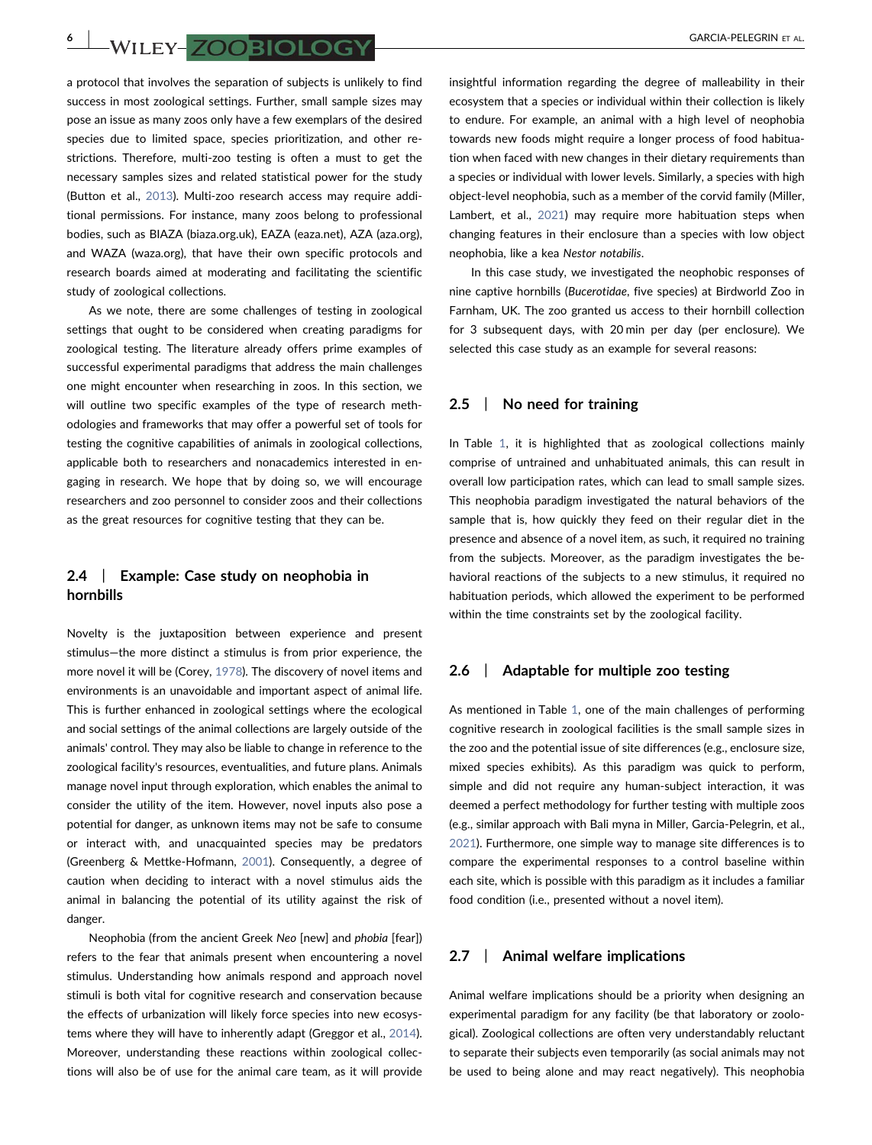**6 | WILEY-ZOOBIOLOGY** GARCIA-PELEGRIN ET AL.

a protocol that involves the separation of subjects is unlikely to find success in most zoological settings. Further, small sample sizes may pose an issue as many zoos only have a few exemplars of the desired species due to limited space, species prioritization, and other restrictions. Therefore, multi‐zoo testing is often a must to get the necessary samples sizes and related statistical power for the study (Button et al., [2013](#page-9-22)). Multi‐zoo research access may require additional permissions. For instance, many zoos belong to professional bodies, such as BIAZA (biaza.org.uk), EAZA (eaza.net), AZA (aza.org), and WAZA (waza.org), that have their own specific protocols and research boards aimed at moderating and facilitating the scientific study of zoological collections.

As we note, there are some challenges of testing in zoological settings that ought to be considered when creating paradigms for zoological testing. The literature already offers prime examples of successful experimental paradigms that address the main challenges one might encounter when researching in zoos. In this section, we will outline two specific examples of the type of research methodologies and frameworks that may offer a powerful set of tools for testing the cognitive capabilities of animals in zoological collections, applicable both to researchers and nonacademics interested in engaging in research. We hope that by doing so, we will encourage researchers and zoo personnel to consider zoos and their collections as the great resources for cognitive testing that they can be.

# 2.4 | Example: Case study on neophobia in hornbills

Novelty is the juxtaposition between experience and present stimulus—the more distinct a stimulus is from prior experience, the more novel it will be (Corey, [1978\)](#page-9-30). The discovery of novel items and environments is an unavoidable and important aspect of animal life. This is further enhanced in zoological settings where the ecological and social settings of the animal collections are largely outside of the animals' control. They may also be liable to change in reference to the zoological facility's resources, eventualities, and future plans. Animals manage novel input through exploration, which enables the animal to consider the utility of the item. However, novel inputs also pose a potential for danger, as unknown items may not be safe to consume or interact with, and unacquainted species may be predators (Greenberg & Mettke‐Hofmann, [2001\)](#page-9-31). Consequently, a degree of caution when deciding to interact with a novel stimulus aids the animal in balancing the potential of its utility against the risk of danger.

Neophobia (from the ancient Greek Neo [new] and phobia [fear]) refers to the fear that animals present when encountering a novel stimulus. Understanding how animals respond and approach novel stimuli is both vital for cognitive research and conservation because the effects of urbanization will likely force species into new ecosystems where they will have to inherently adapt (Greggor et al., [2014](#page-9-18)). Moreover, understanding these reactions within zoological collections will also be of use for the animal care team, as it will provide

insightful information regarding the degree of malleability in their ecosystem that a species or individual within their collection is likely to endure. For example, an animal with a high level of neophobia towards new foods might require a longer process of food habituation when faced with new changes in their dietary requirements than a species or individual with lower levels. Similarly, a species with high object‐level neophobia, such as a member of the corvid family (Miller, Lambert, et al., [2021\)](#page-9-21) may require more habituation steps when changing features in their enclosure than a species with low object neophobia, like a kea Nestor notabilis.

In this case study, we investigated the neophobic responses of nine captive hornbills (Bucerotidae, five species) at Birdworld Zoo in Farnham, UK. The zoo granted us access to their hornbill collection for 3 subsequent days, with 20 min per day (per enclosure). We selected this case study as an example for several reasons:

#### 2.5 | No need for training

In Table [1,](#page-3-0) it is highlighted that as zoological collections mainly comprise of untrained and unhabituated animals, this can result in overall low participation rates, which can lead to small sample sizes. This neophobia paradigm investigated the natural behaviors of the sample that is, how quickly they feed on their regular diet in the presence and absence of a novel item, as such, it required no training from the subjects. Moreover, as the paradigm investigates the behavioral reactions of the subjects to a new stimulus, it required no habituation periods, which allowed the experiment to be performed within the time constraints set by the zoological facility.

#### 2.6 | Adaptable for multiple zoo testing

As mentioned in Table [1,](#page-3-0) one of the main challenges of performing cognitive research in zoological facilities is the small sample sizes in the zoo and the potential issue of site differences (e.g., enclosure size, mixed species exhibits). As this paradigm was quick to perform, simple and did not require any human‐subject interaction, it was deemed a perfect methodology for further testing with multiple zoos (e.g., similar approach with Bali myna in Miller, Garcia‐Pelegrin, et al., [2021](#page-9-11)). Furthermore, one simple way to manage site differences is to compare the experimental responses to a control baseline within each site, which is possible with this paradigm as it includes a familiar food condition (i.e., presented without a novel item).

### 2.7 | Animal welfare implications

Animal welfare implications should be a priority when designing an experimental paradigm for any facility (be that laboratory or zoological). Zoological collections are often very understandably reluctant to separate their subjects even temporarily (as social animals may not be used to being alone and may react negatively). This neophobia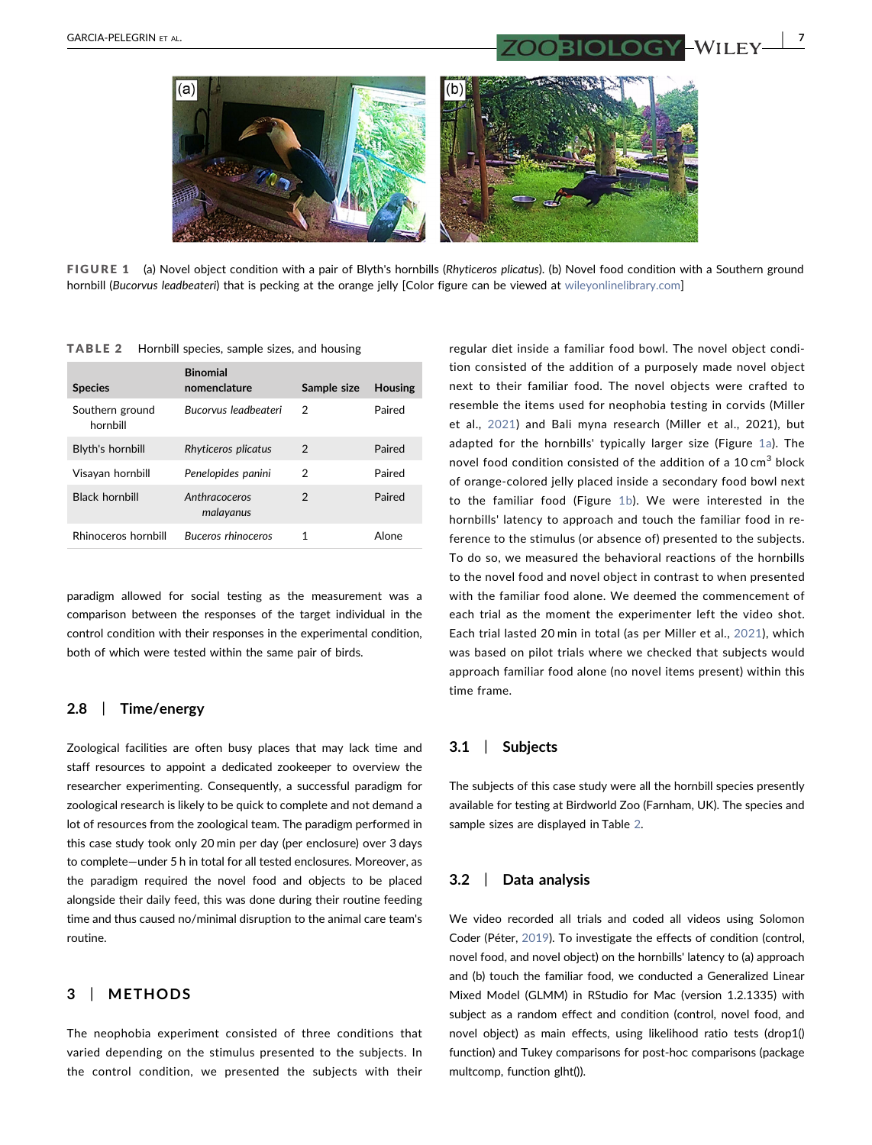<span id="page-6-1"></span>

FIGURE 1 (a) Novel object condition with a pair of Blyth's hornbills (Rhyticeros plicatus). (b) Novel food condition with a Southern ground hornbill (Bucorvus leadbeateri) that is pecking at the orange jelly [Color figure can be viewed at [wileyonlinelibrary.com\]](http://wileyonlinelibrary.com)

| <b>Species</b>              | <b>Binomial</b><br>nomenclature | Sample size   | <b>Housing</b> |
|-----------------------------|---------------------------------|---------------|----------------|
| Southern ground<br>hornbill | Bucorvus leadheateri            | 2             | Paired         |
| Blyth's hornbill            | Rhyticeros plicatus             | 2             | Paired         |
| Visayan hornbill            | Penelopides panini              | 2             | Paired         |
| <b>Black hornbill</b>       | Anthracoceros<br>malayanus      | $\mathcal{P}$ | Paired         |
| Rhinoceros hornbill         | <b>Buceros rhinoceros</b>       | 1             | Alone          |

<span id="page-6-2"></span>TABLE 2 Hornbill species, sample sizes, and housing

paradigm allowed for social testing as the measurement was a comparison between the responses of the target individual in the control condition with their responses in the experimental condition, both of which were tested within the same pair of birds.

## 2.8 | Time/energy

Zoological facilities are often busy places that may lack time and staff resources to appoint a dedicated zookeeper to overview the researcher experimenting. Consequently, a successful paradigm for zoological research is likely to be quick to complete and not demand a lot of resources from the zoological team. The paradigm performed in this case study took only 20 min per day (per enclosure) over 3 days to complete—under 5 h in total for all tested enclosures. Moreover, as the paradigm required the novel food and objects to be placed alongside their daily feed, this was done during their routine feeding time and thus caused no/minimal disruption to the animal care team's routine.

## <span id="page-6-0"></span>3 | METHODS

The neophobia experiment consisted of three conditions that varied depending on the stimulus presented to the subjects. In the control condition, we presented the subjects with their

regular diet inside a familiar food bowl. The novel object condition consisted of the addition of a purposely made novel object next to their familiar food. The novel objects were crafted to resemble the items used for neophobia testing in corvids (Miller et al., [2021\)](#page-9-21) and Bali myna research (Miller et al., 2021), but adapted for the hornbills' typically larger size (Figure [1a](#page-6-1)). The novel food condition consisted of the addition of a 10 cm<sup>3</sup> block of orange‐colored jelly placed inside a secondary food bowl next to the familiar food (Figure [1b](#page-6-1)). We were interested in the hornbills' latency to approach and touch the familiar food in reference to the stimulus (or absence of) presented to the subjects. To do so, we measured the behavioral reactions of the hornbills to the novel food and novel object in contrast to when presented with the familiar food alone. We deemed the commencement of each trial as the moment the experimenter left the video shot. Each trial lasted 20 min in total (as per Miller et al., [2021\)](#page-9-21), which was based on pilot trials where we checked that subjects would approach familiar food alone (no novel items present) within this time frame.

#### 3.1 | Subjects

The subjects of this case study were all the hornbill species presently available for testing at Birdworld Zoo (Farnham, UK). The species and sample sizes are displayed in Table [2.](#page-6-2)

#### 3.2 | Data analysis

We video recorded all trials and coded all videos using Solomon Coder (Péter, [2019](#page-10-14)). To investigate the effects of condition (control, novel food, and novel object) on the hornbills' latency to (a) approach and (b) touch the familiar food, we conducted a Generalized Linear Mixed Model (GLMM) in RStudio for Mac (version 1.2.1335) with subject as a random effect and condition (control, novel food, and novel object) as main effects, using likelihood ratio tests (drop1() function) and Tukey comparisons for post‐hoc comparisons (package multcomp, function glht()).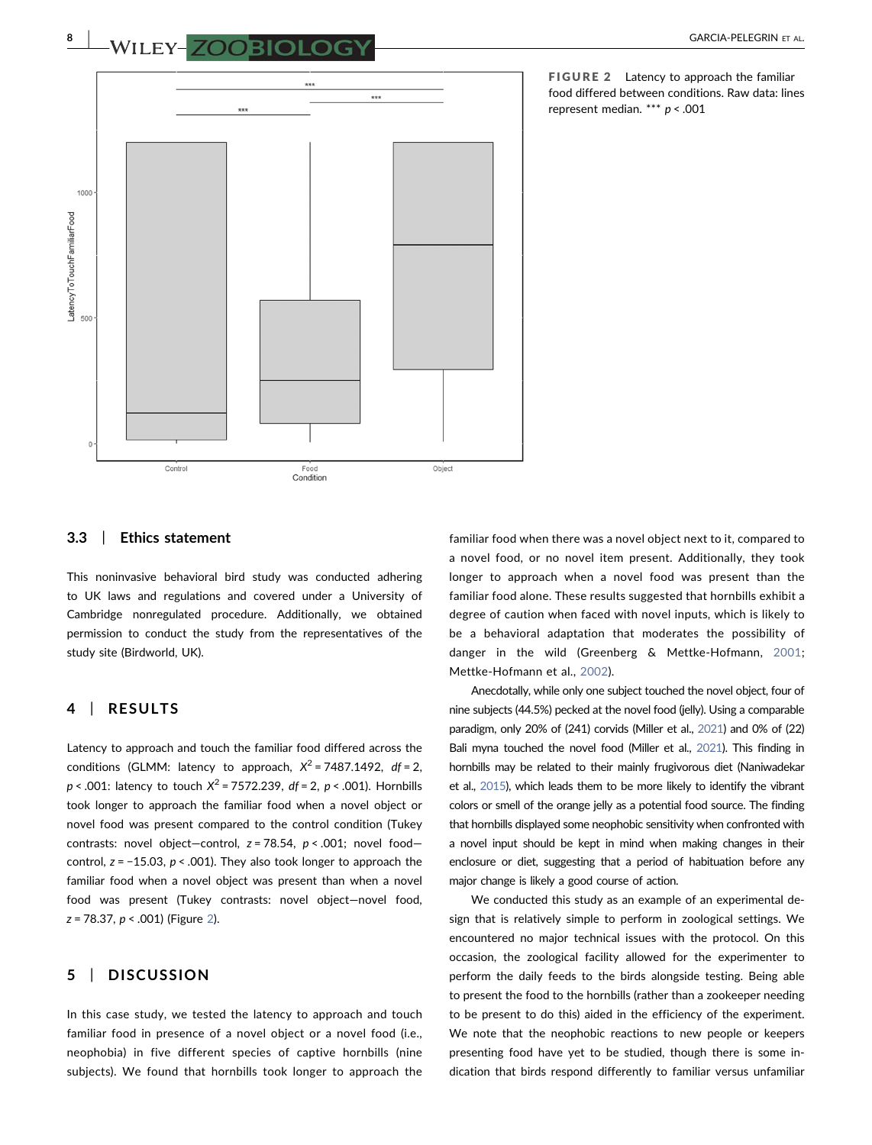<span id="page-7-0"></span>

FIGURE 2 Latency to approach the familiar food differed between conditions. Raw data: lines represent median. \*\*\* p < .001

#### 3.3 | Ethics statement

This noninvasive behavioral bird study was conducted adhering to UK laws and regulations and covered under a University of Cambridge nonregulated procedure. Additionally, we obtained permission to conduct the study from the representatives of the study site (Birdworld, UK).

### 4 | RESULTS

Latency to approach and touch the familiar food differed across the conditions (GLMM: latency to approach,  $X^2 = 7487.1492$ , df = 2,  $p < .001$ : latency to touch  $X^2 = 7572.239$ , df = 2, p < .001). Hornbills took longer to approach the familiar food when a novel object or novel food was present compared to the control condition (Tukey contrasts: novel object-control,  $z = 78.54$ ,  $p < .001$ ; novel foodcontrol,  $z = -15.03$ ,  $p < .001$ ). They also took longer to approach the familiar food when a novel object was present than when a novel food was present (Tukey contrasts: novel object—novel food,  $z = 78.37$ ,  $p < .001$ ) (Figure [2](#page-7-0)).

# 5 | DISCUSSION

In this case study, we tested the latency to approach and touch familiar food in presence of a novel object or a novel food (i.e., neophobia) in five different species of captive hornbills (nine subjects). We found that hornbills took longer to approach the

familiar food when there was a novel object next to it, compared to a novel food, or no novel item present. Additionally, they took longer to approach when a novel food was present than the familiar food alone. These results suggested that hornbills exhibit a degree of caution when faced with novel inputs, which is likely to be a behavioral adaptation that moderates the possibility of danger in the wild (Greenberg & Mettke‐Hofmann, [2001;](#page-9-31) Mettke‐Hofmann et al., [2002\)](#page-9-32).

Anecdotally, while only one subject touched the novel object, four of nine subjects (44.5%) pecked at the novel food (jelly). Using a comparable paradigm, only 20% of (241) corvids (Miller et al., [2021](#page-9-21)) and 0% of (22) Bali myna touched the novel food (Miller et al., [2021](#page-9-11)). This finding in hornbills may be related to their mainly frugivorous diet (Naniwadekar et al., [2015](#page-10-15)), which leads them to be more likely to identify the vibrant colors or smell of the orange jelly as a potential food source. The finding that hornbills displayed some neophobic sensitivity when confronted with a novel input should be kept in mind when making changes in their enclosure or diet, suggesting that a period of habituation before any major change is likely a good course of action.

We conducted this study as an example of an experimental design that is relatively simple to perform in zoological settings. We encountered no major technical issues with the protocol. On this occasion, the zoological facility allowed for the experimenter to perform the daily feeds to the birds alongside testing. Being able to present the food to the hornbills (rather than a zookeeper needing to be present to do this) aided in the efficiency of the experiment. We note that the neophobic reactions to new people or keepers presenting food have yet to be studied, though there is some indication that birds respond differently to familiar versus unfamiliar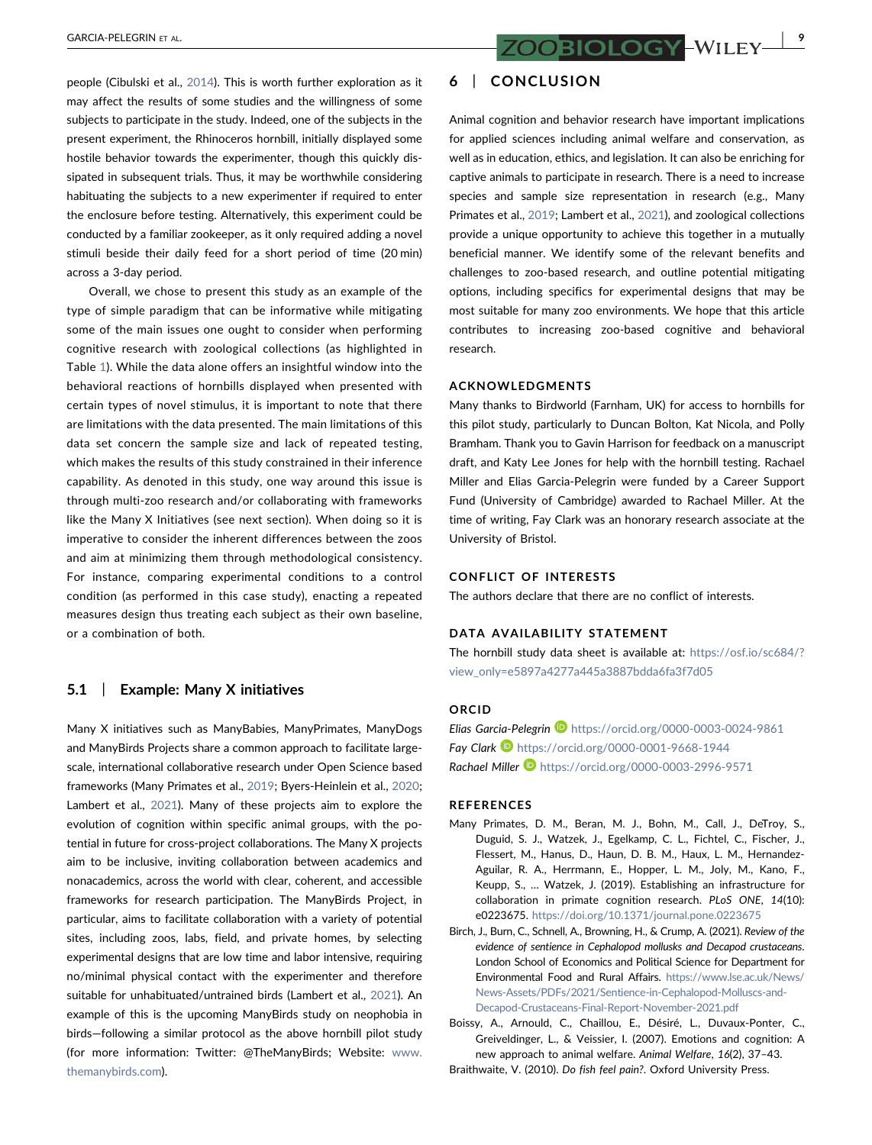GARCIA-PELEGRIN ET AL.  $\overline{ZOOBIOLOGY}$  –  $WILEY$  –  $\overline{9}$ 

people (Cibulski et al., [2014](#page-9-33)). This is worth further exploration as it may affect the results of some studies and the willingness of some subjects to participate in the study. Indeed, one of the subjects in the present experiment, the Rhinoceros hornbill, initially displayed some hostile behavior towards the experimenter, though this quickly dissipated in subsequent trials. Thus, it may be worthwhile considering habituating the subjects to a new experimenter if required to enter the enclosure before testing. Alternatively, this experiment could be conducted by a familiar zookeeper, as it only required adding a novel stimuli beside their daily feed for a short period of time (20 min) across a 3‐day period.

Overall, we chose to present this study as an example of the type of simple paradigm that can be informative while mitigating some of the main issues one ought to consider when performing cognitive research with zoological collections (as highlighted in Table [1\)](#page-3-0). While the data alone offers an insightful window into the behavioral reactions of hornbills displayed when presented with certain types of novel stimulus, it is important to note that there are limitations with the data presented. The main limitations of this data set concern the sample size and lack of repeated testing, which makes the results of this study constrained in their inference capability. As denoted in this study, one way around this issue is through multi‐zoo research and/or collaborating with frameworks like the Many X Initiatives (see next section). When doing so it is imperative to consider the inherent differences between the zoos and aim at minimizing them through methodological consistency. For instance, comparing experimental conditions to a control condition (as performed in this case study), enacting a repeated measures design thus treating each subject as their own baseline, or a combination of both.

#### 5.1 | Example: Many X initiatives

Many X initiatives such as ManyBabies, ManyPrimates, ManyDogs and ManyBirds Projects share a common approach to facilitate large‐ scale, international collaborative research under Open Science based frameworks (Many Primates et al., [2019](#page-8-0); Byers-Heinlein et al., [2020](#page-9-34); Lambert et al., [2021](#page-9-12)). Many of these projects aim to explore the evolution of cognition within specific animal groups, with the potential in future for cross‐project collaborations. The Many X projects aim to be inclusive, inviting collaboration between academics and nonacademics, across the world with clear, coherent, and accessible frameworks for research participation. The ManyBirds Project, in particular, aims to facilitate collaboration with a variety of potential sites, including zoos, labs, field, and private homes, by selecting experimental designs that are low time and labor intensive, requiring no/minimal physical contact with the experimenter and therefore suitable for unhabituated/untrained birds (Lambert et al., [2021\)](#page-9-12). An example of this is the upcoming ManyBirds study on neophobia in birds—following a similar protocol as the above hornbill pilot study (for more information: Twitter: @TheManyBirds; Website: [www.](http://www.themanybirds.com) [themanybirds.com](http://www.themanybirds.com)).

# 6 | CONCLUSION

Animal cognition and behavior research have important implications for applied sciences including animal welfare and conservation, as well as in education, ethics, and legislation. It can also be enriching for captive animals to participate in research. There is a need to increase species and sample size representation in research (e.g., Many Primates et al., [2019](#page-8-0); Lambert et al., [2021](#page-9-12)), and zoological collections provide a unique opportunity to achieve this together in a mutually beneficial manner. We identify some of the relevant benefits and challenges to zoo‐based research, and outline potential mitigating options, including specifics for experimental designs that may be most suitable for many zoo environments. We hope that this article contributes to increasing zoo‐based cognitive and behavioral research.

#### ACKNOWLEDGMENTS

Many thanks to Birdworld (Farnham, UK) for access to hornbills for this pilot study, particularly to Duncan Bolton, Kat Nicola, and Polly Bramham. Thank you to Gavin Harrison for feedback on a manuscript draft, and Katy Lee Jones for help with the hornbill testing. Rachael Miller and Elias Garcia‐Pelegrin were funded by a Career Support Fund (University of Cambridge) awarded to Rachael Miller. At the time of writing, Fay Clark was an honorary research associate at the University of Bristol.

#### CONFLICT OF INTERESTS

The authors declare that there are no conflict of interests.

#### DATA AVAILABILITY STATEMENT

The hornbill study data sheet is available at: [https://osf.io/sc684/?](https://osf.io/sc684/?view_only=e5897a4277a445a3887bdda6fa3f7d05) [view\\_only=e5897a4277a445a3887bdda6fa3f7d05](https://osf.io/sc684/?view_only=e5897a4277a445a3887bdda6fa3f7d05)

#### ORCID

Elias Garcia-Pelegrin D <https://orcid.org/0000-0003-0024-9861> Fay Clark **<https://orcid.org/0000-0001-9668-1944>** Rachael Miller <https://orcid.org/0000-0003-2996-9571>

#### REFERENCES

- <span id="page-8-0"></span>Many Primates, D. M., Beran, M. J., Bohn, M., Call, J., DeTroy, S., Duguid, S. J., Watzek, J., Egelkamp, C. L., Fichtel, C., Fischer, J., Flessert, M., Hanus, D., Haun, D. B. M., Haux, L. M., Hernandez‐ Aguilar, R. A., Herrmann, E., Hopper, L. M., Joly, M., Kano, F., Keupp, S., … Watzek, J. (2019). Establishing an infrastructure for collaboration in primate cognition research. PLoS ONE, 14(10): e0223675. <https://doi.org/10.1371/journal.pone.0223675>
- <span id="page-8-2"></span>Birch, J., Burn, C., Schnell, A., Browning, H., & Crump, A. (2021). Review of the evidence of sentience in Cephalopod mollusks and Decapod crustaceans. London School of Economics and Political Science for Department for Environmental Food and Rural Affairs. [https://www.lse.ac.uk/News/](https://www.lse.ac.uk/News/News-Assets/PDFs/2021/Sentience-in-Cephalopod-Molluscs-and-Decapod-Crustaceans-Final-Report-November-2021.pdf) [News-Assets/PDFs/2021/Sentience-in-Cephalopod-Molluscs-and-](https://www.lse.ac.uk/News/News-Assets/PDFs/2021/Sentience-in-Cephalopod-Molluscs-and-Decapod-Crustaceans-Final-Report-November-2021.pdf)[Decapod-Crustaceans-Final-Report-November-2021.pdf](https://www.lse.ac.uk/News/News-Assets/PDFs/2021/Sentience-in-Cephalopod-Molluscs-and-Decapod-Crustaceans-Final-Report-November-2021.pdf)
- <span id="page-8-3"></span>Boissy, A., Arnould, C., Chaillou, E., Désiré, L., Duvaux‐Ponter, C., Greiveldinger, L., & Veissier, I. (2007). Emotions and cognition: A new approach to animal welfare. Animal Welfare, 16(2), 37–43.
- <span id="page-8-1"></span>Braithwaite, V. (2010). Do fish feel pain?. Oxford University Press.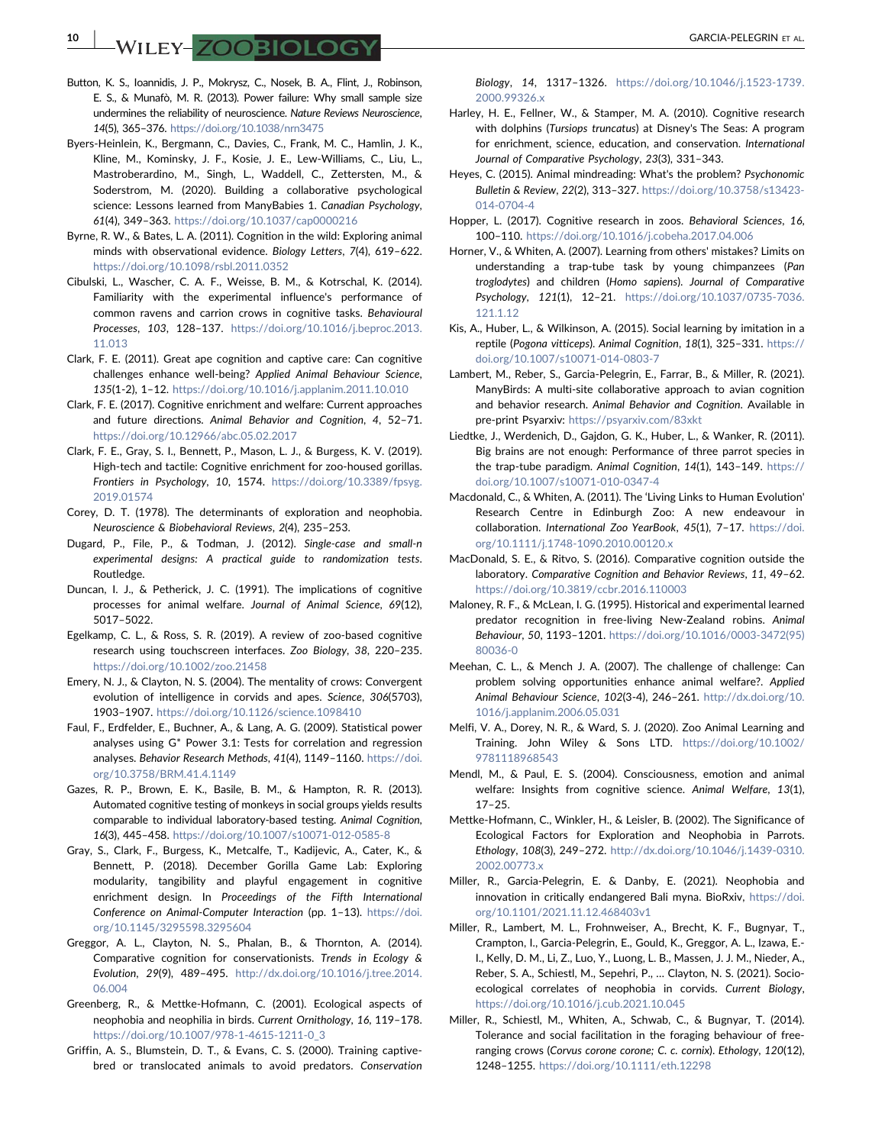– WILEY – ZOOBIOLOGY – SARCIA-PELEGRIN ET AL.

- <span id="page-9-22"></span>Button, K. S., Ioannidis, J. P., Mokrysz, C., Nosek, B. A., Flint, J., Robinson, E. S., & Munafò, M. R. (2013). Power failure: Why small sample size undermines the reliability of neuroscience. Nature Reviews Neuroscience, 14(5), 365–376. <https://doi.org/10.1038/nrn3475>
- <span id="page-9-34"></span>Byers‐Heinlein, K., Bergmann, C., Davies, C., Frank, M. C., Hamlin, J. K., Kline, M., Kominsky, J. F., Kosie, J. E., Lew‐Williams, C., Liu, L., Mastroberardino, M., Singh, L., Waddell, C., Zettersten, M., & Soderstrom, M. (2020). Building a collaborative psychological science: Lessons learned from ManyBabies 1. Canadian Psychology, 61(4), 349–363. <https://doi.org/10.1037/cap0000216>
- <span id="page-9-3"></span>Byrne, R. W., & Bates, L. A. (2011). Cognition in the wild: Exploring animal minds with observational evidence. Biology Letters, 7(4), 619–622. <https://doi.org/10.1098/rsbl.2011.0352>
- <span id="page-9-33"></span>Cibulski, L., Wascher, C. A. F., Weisse, B. M., & Kotrschal, K. (2014). Familiarity with the experimental influence's performance of common ravens and carrion crows in cognitive tasks. Behavioural Processes, 103, 128–137. [https://doi.org/10.1016/j.beproc.2013.](https://doi.org/10.1016/j.beproc.2013.11.013) [11.013](https://doi.org/10.1016/j.beproc.2013.11.013)
- <span id="page-9-15"></span>Clark, F. E. (2011). Great ape cognition and captive care: Can cognitive challenges enhance well‐being? Applied Animal Behaviour Science, 135(1‐2), 1–12. <https://doi.org/10.1016/j.applanim.2011.10.010>
- <span id="page-9-8"></span>Clark, F. E. (2017). Cognitive enrichment and welfare: Current approaches and future directions. Animal Behavior and Cognition, 4, 52–71. <https://doi.org/10.12966/abc.05.02.2017>
- <span id="page-9-9"></span>Clark, F. E., Gray, S. I., Bennett, P., Mason, L. J., & Burgess, K. V. (2019). High-tech and tactile: Cognitive enrichment for zoo-housed gorillas. Frontiers in Psychology, 10, 1574. [https://doi.org/10.3389/fpsyg.](https://doi.org/10.3389/fpsyg.2019.01574) [2019.01574](https://doi.org/10.3389/fpsyg.2019.01574)
- <span id="page-9-30"></span>Corey, D. T. (1978). The determinants of exploration and neophobia. Neuroscience & Biobehavioral Reviews, 2(4), 235–253.
- <span id="page-9-24"></span>Dugard, P., File, P., & Todman, J. (2012). Single‐case and small‐n experimental designs: A practical guide to randomization tests. Routledge.
- <span id="page-9-16"></span>Duncan, I. J., & Petherick, J. C. (1991). The implications of cognitive processes for animal welfare. Journal of Animal Science, 69(12), 5017–5022.
- <span id="page-9-6"></span>Egelkamp, C. L., & Ross, S. R. (2019). A review of zoo‐based cognitive research using touchscreen interfaces. Zoo Biology, 38, 220–235. <https://doi.org/10.1002/zoo.21458>
- <span id="page-9-13"></span>Emery, N. J., & Clayton, N. S. (2004). The mentality of crows: Convergent evolution of intelligence in corvids and apes. Science, 306(5703), 1903–1907. <https://doi.org/10.1126/science.1098410>
- <span id="page-9-23"></span>Faul, F., Erdfelder, E., Buchner, A., & Lang, A. G. (2009). Statistical power analyses using G\* Power 3.1: Tests for correlation and regression analyses. Behavior Research Methods, 41(4), 1149-1160. [https://doi.](https://doi.org/10.3758/BRM.41.4.1149) [org/10.3758/BRM.41.4.1149](https://doi.org/10.3758/BRM.41.4.1149)
- <span id="page-9-26"></span>Gazes, R. P., Brown, E. K., Basile, B. M., & Hampton, R. R. (2013). Automated cognitive testing of monkeys in social groups yields results comparable to individual laboratory‐based testing. Animal Cognition, 16(3), 445–458. [https://doi.org/10.1007/s10071](https://doi.org/10.1007/s10071-012-0585-8)‐012-0585-8
- <span id="page-9-29"></span>Gray, S., Clark, F., Burgess, K., Metcalfe, T., Kadijevic, A., Cater, K., & Bennett, P. (2018). December Gorilla Game Lab: Exploring modularity, tangibility and playful engagement in cognitive enrichment design. In Proceedings of the Fifth International Conference on Animal-Computer Interaction (pp. 1-13). [https://doi.](https://doi.org/10.1145/3295598.3295604) [org/10.1145/3295598.3295604](https://doi.org/10.1145/3295598.3295604)
- <span id="page-9-18"></span>Greggor, A. L., Clayton, N. S., Phalan, B., & Thornton, A. (2014). Comparative cognition for conservationists. Trends in Ecology & Evolution, 29(9), 489–495. [http://dx.doi.org/10.1016/j.tree.2014.](http://dx.doi.org/10.1016/j.tree.2014.06.004) [06.004](http://dx.doi.org/10.1016/j.tree.2014.06.004)
- <span id="page-9-31"></span>Greenberg, R., & Mettke‐Hofmann, C. (2001). Ecological aspects of neophobia and neophilia in birds. Current Ornithology, 16, 119–178. [https://doi.org/10.1007/978-1-4615-1211-0\\_3](https://doi.org/10.1007/978-1-4615-1211-0_3)
- <span id="page-9-19"></span>Griffin, A. S., Blumstein, D. T., & Evans, C. S. (2000). Training captive‐ bred or translocated animals to avoid predators. Conservation

Biology, 14, 1317–1326. [https://doi.org/10.1046/j.1523-1739.](https://doi.org/10.1046/j.1523-1739.2000.99326.x) [2000.99326.x](https://doi.org/10.1046/j.1523-1739.2000.99326.x)

- <span id="page-9-14"></span>Harley, H. E., Fellner, W., & Stamper, M. A. (2010). Cognitive research with dolphins (Tursiops truncatus) at Disney's The Seas: A program for enrichment, science, education, and conservation. International Journal of Comparative Psychology, 23(3), 331–343.
- <span id="page-9-2"></span>Heyes, C. (2015). Animal mindreading: What's the problem? Psychonomic Bulletin & Review, 22(2), 313–327. [https://doi.org/10.3758/s13423-](https://doi.org/10.3758/s13423-014-0704-4) [014-0704-4](https://doi.org/10.3758/s13423-014-0704-4)
- <span id="page-9-4"></span>Hopper, L. (2017). Cognitive research in zoos. Behavioral Sciences, 16, 100–110. <https://doi.org/10.1016/j.cobeha.2017.04.006>
- <span id="page-9-0"></span>Horner, V., & Whiten, A. (2007). Learning from others' mistakes? Limits on understanding a trap-tube task by young chimpanzees (Pan troglodytes) and children (Homo sapiens). Journal of Comparative Psychology, 121(1), 12–21. [https://doi.org/10.1037/0735-7036.](https://doi.org/10.1037/0735-7036.121.1.12) [121.1.12](https://doi.org/10.1037/0735-7036.121.1.12)
- <span id="page-9-28"></span>Kis, A., Huber, L., & Wilkinson, A. (2015). Social learning by imitation in a reptile (Pogona vitticeps). Animal Cognition, 18(1), 325–331. [https://](https://doi.org/10.1007/s10071-014-0803-7) [doi.org/10.1007/s10071-014-0803-7](https://doi.org/10.1007/s10071-014-0803-7)
- <span id="page-9-12"></span>Lambert, M., Reber, S., Garcia‐Pelegrin, E., Farrar, B., & Miller, R. (2021). ManyBirds: A multi‐site collaborative approach to avian cognition and behavior research. Animal Behavior and Cognition. Available in pre‐print Psyarxiv: <https://psyarxiv.com/83xkt>
- <span id="page-9-1"></span>Liedtke, J., Werdenich, D., Gajdon, G. K., Huber, L., & Wanker, R. (2011). Big brains are not enough: Performance of three parrot species in the trap-tube paradigm. Animal Cognition, 14(1), 143-149. [https://](https://doi.org/10.1007/s10071-010-0347-4) [doi.org/10.1007/s10071-010-0347-4](https://doi.org/10.1007/s10071-010-0347-4)
- <span id="page-9-7"></span>Macdonald, C., & Whiten, A. (2011). The 'Living Links to Human Evolution' Research Centre in Edinburgh Zoo: A new endeavour in collaboration. International Zoo YearBook, 45(1), 7–17. [https://doi.](https://doi.org/10.1111/j.1748-1090.2010.00120.x) [org/10.1111/j.1748-1090.2010.00120.x](https://doi.org/10.1111/j.1748-1090.2010.00120.x)
- <span id="page-9-5"></span>MacDonald, S. E., & Ritvo, S. (2016). Comparative cognition outside the laboratory. Comparative Cognition and Behavior Reviews, 11, 49–62. <https://doi.org/10.3819/ccbr.2016.110003>
- <span id="page-9-20"></span>Maloney, R. F., & McLean, I. G. (1995). Historical and experimental learned predator recognition in free‐living New‐Zealand robins. Animal Behaviour, 50, 1193–1201. [https://doi.org/10.1016/0003-3472\(95\)](https://doi.org/10.1016/0003-3472(95)80036-0) [80036-0](https://doi.org/10.1016/0003-3472(95)80036-0)
- <span id="page-9-27"></span>Meehan, C. L., & Mench J. A. (2007). The challenge of challenge: Can problem solving opportunities enhance animal welfare?. Applied Animal Behaviour Science, 102(3‐4), 246–261. [http://dx.doi.org/10.](http://dx.doi.org/10.1016/j.applanim.2006.05.031) [1016/j.applanim.2006.05.031](http://dx.doi.org/10.1016/j.applanim.2006.05.031)
- <span id="page-9-25"></span>Melfi, V. A., Dorey, N. R., & Ward, S. J. (2020). Zoo Animal Learning and Training. John Wiley & Sons LTD. [https://doi.org/10.1002/](https://doi.org/10.1002/9781118968543) [9781118968543](https://doi.org/10.1002/9781118968543)
- <span id="page-9-17"></span>Mendl, M., & Paul, E. S. (2004). Consciousness, emotion and animal welfare: Insights from cognitive science. Animal Welfare, 13(1), 17–25.
- <span id="page-9-32"></span>Mettke‐Hofmann, C., Winkler, H., & Leisler, B. (2002). The Significance of Ecological Factors for Exploration and Neophobia in Parrots. Ethology, 108(3), 249–272. [http://dx.doi.org/10.1046/j.1439-0310.](http://dx.doi.org/10.1046/j.1439-0310.2002.00773.x) [2002.00773.x](http://dx.doi.org/10.1046/j.1439-0310.2002.00773.x)
- <span id="page-9-11"></span>Miller, R., Garcia‐Pelegrin, E. & Danby, E. (2021). Neophobia and innovation in critically endangered Bali myna. BioRxiv, [https://doi.](https://doi.org/10.1101/2021.11.12.468403v1) [org/10.1101/2021.11.12.468403v1](https://doi.org/10.1101/2021.11.12.468403v1)
- <span id="page-9-21"></span>Miller, R., Lambert, M. L., Frohnweiser, A., Brecht, K. F., Bugnyar, T., Crampton, I., Garcia‐Pelegrin, E., Gould, K., Greggor, A. L., Izawa, E.‐ I., Kelly, D. M., Li, Z., Luo, Y., Luong, L. B., Massen, J. J. M., Nieder, A., Reber, S. A., Schiestl, M., Sepehri, P., … Clayton, N. S. (2021). Socio‐ ecological correlates of neophobia in corvids. Current Biology, <https://doi.org/10.1016/j.cub.2021.10.045>
- <span id="page-9-10"></span>Miller, R., Schiestl, M., Whiten, A., Schwab, C., & Bugnyar, T. (2014). Tolerance and social facilitation in the foraging behaviour of free‐ ranging crows (Corvus corone corone; C. c. cornix). Ethology, 120(12), 1248–1255. <https://doi.org/10.1111/eth.12298>